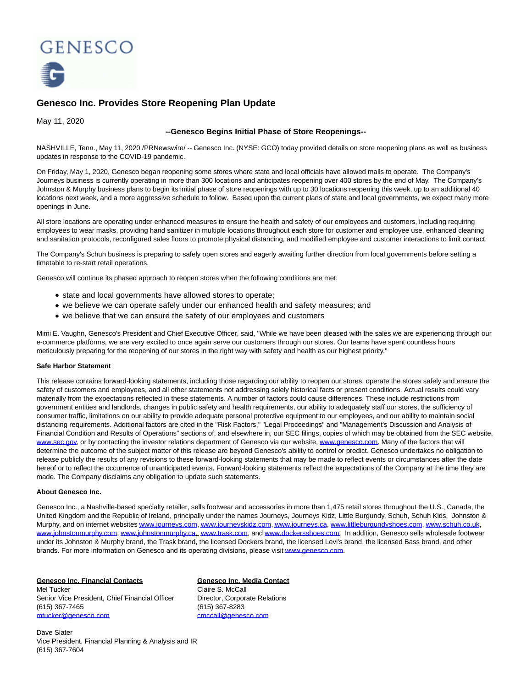

# **Genesco Inc. Provides Store Reopening Plan Update**

May 11, 2020

## **--Genesco Begins Initial Phase of Store Reopenings--**

NASHVILLE, Tenn., May 11, 2020 /PRNewswire/ -- Genesco Inc. (NYSE: GCO) today provided details on store reopening plans as well as business updates in response to the COVID-19 pandemic.

On Friday, May 1, 2020, Genesco began reopening some stores where state and local officials have allowed malls to operate. The Company's Journeys business is currently operating in more than 300 locations and anticipates reopening over 400 stores by the end of May. The Company's Johnston & Murphy business plans to begin its initial phase of store reopenings with up to 30 locations reopening this week, up to an additional 40 locations next week, and a more aggressive schedule to follow. Based upon the current plans of state and local governments, we expect many more openings in June.

All store locations are operating under enhanced measures to ensure the health and safety of our employees and customers, including requiring employees to wear masks, providing hand sanitizer in multiple locations throughout each store for customer and employee use, enhanced cleaning and sanitation protocols, reconfigured sales floors to promote physical distancing, and modified employee and customer interactions to limit contact.

The Company's Schuh business is preparing to safely open stores and eagerly awaiting further direction from local governments before setting a timetable to re-start retail operations.

Genesco will continue its phased approach to reopen stores when the following conditions are met:

- state and local governments have allowed stores to operate;
- we believe we can operate safely under our enhanced health and safety measures; and
- we believe that we can ensure the safety of our employees and customers

Mimi E. Vaughn, Genesco's President and Chief Executive Officer, said, "While we have been pleased with the sales we are experiencing through our e-commerce platforms, we are very excited to once again serve our customers through our stores. Our teams have spent countless hours meticulously preparing for the reopening of our stores in the right way with safety and health as our highest priority."

### **Safe Harbor Statement**

This release contains forward-looking statements, including those regarding our ability to reopen our stores, operate the stores safely and ensure the safety of customers and employees, and all other statements not addressing solely historical facts or present conditions. Actual results could vary materially from the expectations reflected in these statements. A number of factors could cause differences. These include restrictions from government entities and landlords, changes in public safety and health requirements, our ability to adequately staff our stores, the sufficiency of consumer traffic, limitations on our ability to provide adequate personal protective equipment to our employees, and our ability to maintain social distancing requirements. Additional factors are cited in the "Risk Factors," "Legal Proceedings" and "Management's Discussion and Analysis of Financial Condition and Results of Operations" sections of, and elsewhere in, our SEC filings, copies of which may be obtained from the SEC website, [www.sec.gov,](http://www.sec.gov/) or by contacting the investor relations department of Genesco via our website[, www.genesco.com.](http://www.genesco.com/) Many of the factors that will determine the outcome of the subject matter of this release are beyond Genesco's ability to control or predict. Genesco undertakes no obligation to release publicly the results of any revisions to these forward-looking statements that may be made to reflect events or circumstances after the date hereof or to reflect the occurrence of unanticipated events. Forward-looking statements reflect the expectations of the Company at the time they are made. The Company disclaims any obligation to update such statements.

### **About Genesco Inc.**

Genesco Inc., a Nashville-based specialty retailer, sells footwear and accessories in more than 1,475 retail stores throughout the U.S., Canada, the United Kingdom and the Republic of Ireland, principally under the names Journeys, Journeys Kidz, Little Burgundy, Schuh, Schuh Kids, Johnston & Murphy, and on internet website[s www.journeys.com,](https://c212.net/c/link/?t=0&l=en&o=2799914-1&h=2253781473&u=http%3A%2F%2Fwww.journeys.com%2F&a=www.journeys.com) [www.journeyskidz.com,](https://c212.net/c/link/?t=0&l=en&o=2799914-1&h=1728952502&u=http%3A%2F%2Fwww.journeyskidz.com%2F&a=www.journeyskidz.com) [www.journeys.ca,](https://c212.net/c/link/?t=0&l=en&o=2799914-1&h=1399567969&u=http%3A%2F%2Fwww.journeys.ca%2F&a=www.journeys.ca) [www.littleburgundyshoes.com,](https://c212.net/c/link/?t=0&l=en&o=2799914-1&h=4184731646&u=http%3A%2F%2Fwww.littleburgundyshoes.com%2F&a=www.littleburgundyshoes.com) [www.schuh.co.uk,](https://c212.net/c/link/?t=0&l=en&o=2799914-1&h=254335829&u=http%3A%2F%2Fwww.schuh.co.uk%2F&a=www.schuh.co.uk) [www.johnstonmurphy.com,](https://c212.net/c/link/?t=0&l=en&o=2799914-1&h=3737032678&u=http%3A%2F%2Fwww.johnstonmurphy.com%2F&a=www.johnstonmurphy.com) [www.johnstonmurphy.ca,](https://c212.net/c/link/?t=0&l=en&o=2799914-1&h=3291466824&u=http%3A%2F%2Fwww.johnstonmurphy.ca%2F&a=www.johnstonmurphy.ca) [www.trask.com,](https://c212.net/c/link/?t=0&l=en&o=2799914-1&h=746325474&u=http%3A%2F%2Fwww.trask.com%2F&a=www.trask.com) and [www.dockersshoes.com.](https://c212.net/c/link/?t=0&l=en&o=2799914-1&h=4120691257&u=http%3A%2F%2Fwww.dockersshoes.com%2F&a=www.dockersshoes.com) In addition, Genesco sells wholesale footwear under its Johnston & Murphy brand, the Trask brand, the licensed Dockers brand, the licensed Levi's brand, the licensed Bass brand, and other brands. For more information on Genesco and its operating divisions, please visi[t www.genesco.com.](https://c212.net/c/link/?t=0&l=en&o=2799914-1&h=1335962028&u=http%3A%2F%2Fwww.genesco.com%2F&a=www.genesco.com)

### **Genesco Inc. Financial Contacts Genesco Inc. Media Contact**

Mel Tucker Claire S. McCall Senior Vice President, Chief Financial Officer Director, Corporate Relations (615) 367-7465 (615) 367-8283 [mtucker@genesco.com](mailto:mtucker@genesco.com) community [cmccall@genesco.com](mailto:cmccall@genesco.com)

Dave Slater Vice President, Financial Planning & Analysis and IR (615) 367-7604